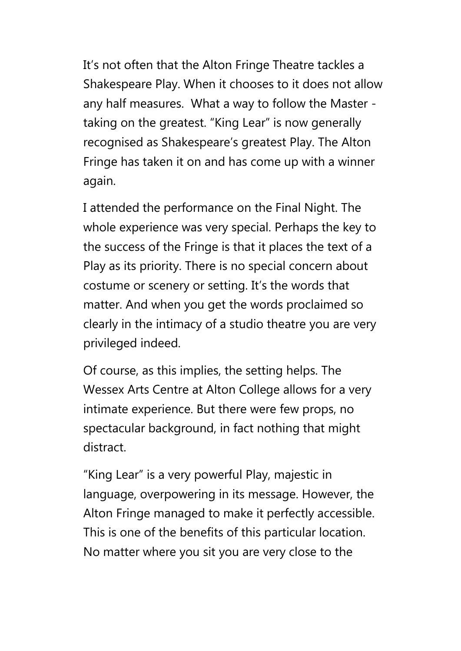It's not often that the Alton Fringe Theatre tackles a Shakespeare Play. When it chooses to it does not allow any half measures. What a way to follow the Master taking on the greatest. "King Lear" is now generally recognised as Shakespeare's greatest Play. The Alton Fringe has taken it on and has come up with a winner again.

I attended the performance on the Final Night. The whole experience was very special. Perhaps the key to the success of the Fringe is that it places the text of a Play as its priority. There is no special concern about costume or scenery or setting. It's the words that matter. And when you get the words proclaimed so clearly in the intimacy of a studio theatre you are very privileged indeed.

Of course, as this implies, the setting helps. The Wessex Arts Centre at Alton College allows for a very intimate experience. But there were few props, no spectacular background, in fact nothing that might distract.

"King Lear" is a very powerful Play, majestic in language, overpowering in its message. However, the Alton Fringe managed to make it perfectly accessible. This is one of the benefits of this particular location. No matter where you sit you are very close to the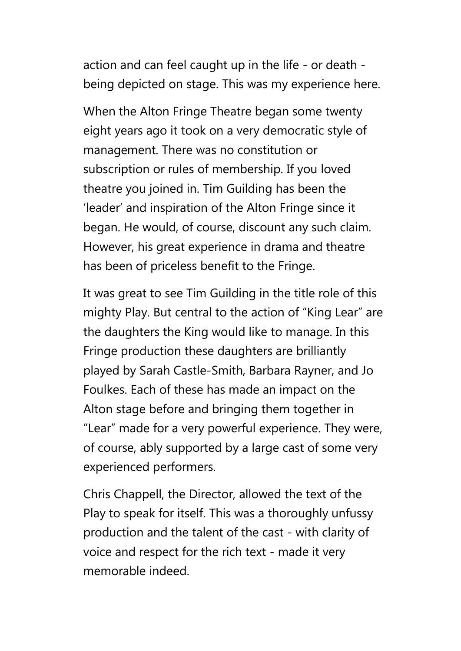action and can feel caught up in the life - or death being depicted on stage. This was my experience here.

When the Alton Fringe Theatre began some twenty eight years ago it took on a very democratic style of management. There was no constitution or subscription or rules of membership. If you loved theatre you joined in. Tim Guilding has been the 'leader' and inspiration of the Alton Fringe since it began. He would, of course, discount any such claim. However, his great experience in drama and theatre has been of priceless benefit to the Fringe.

It was great to see Tim Guilding in the title role of this mighty Play. But central to the action of "King Lear" are the daughters the King would like to manage. In this Fringe production these daughters are brilliantly played by Sarah Castle-Smith, Barbara Rayner, and Jo Foulkes. Each of these has made an impact on the Alton stage before and bringing them together in "Lear" made for a very powerful experience. They were, of course, ably supported by a large cast of some very experienced performers.

Chris Chappell, the Director, allowed the text of the Play to speak for itself. This was a thoroughly unfussy production and the talent of the cast - with clarity of voice and respect for the rich text - made it very memorable indeed.